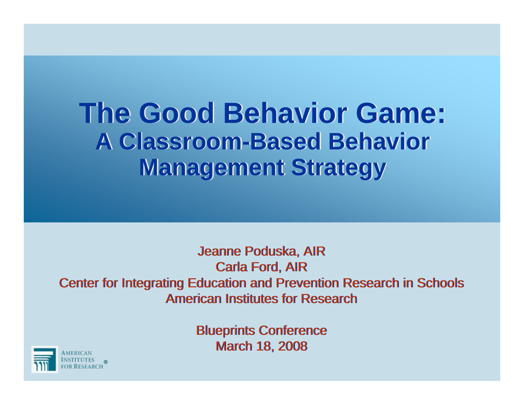#### **The Good Behavior Game: A Classroom-Based Behavior Management Strategy**

Jeanne Poduska, AIR Jeanne Poduska, AIR Carla Ford, AIR Carla Ford, AIR Center for Integrating Education and Prevention Research in Schools Center for Integrating Education and Prevention Research in Schools American Institutes for Research

> Blueprints Conference Blueprints Conference March 18, 2008 March 18, 2008

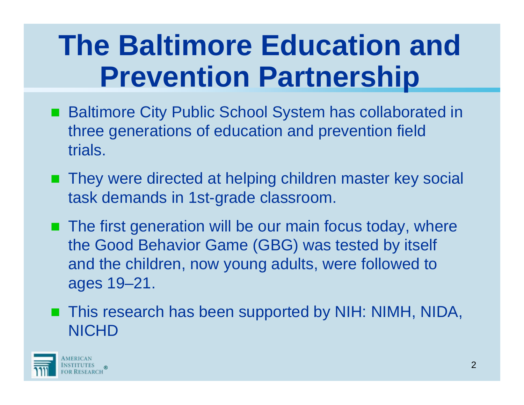# **The Baltimore Education and Prevention Partnership**

- Baltimore City Public School System has collaborated in three generations of education and prevention field trials.
- They were directed at helping children master key social task demands in 1st-grade classroom.
- **The first generation will be our main focus today, where** the Good Behavior Game (GBG) was tested by itself and the children, now young adults, were followed to ages 19–21.
- This research has been supported by NIH: NIMH, NIDA, **NICHD**

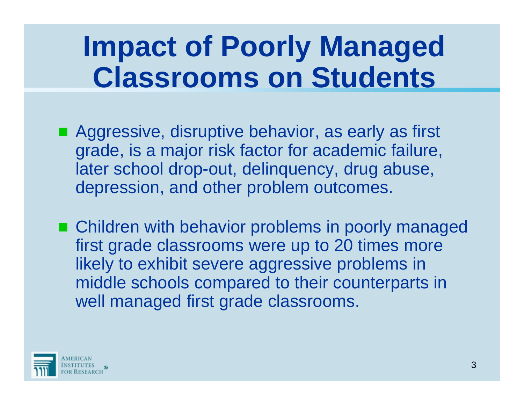# **Impact of Poorly Managed Classrooms on Students**

- Aggressive, disruptive behavior, as early as first grade, is a major risk factor for academic failure, later school drop-out, delinquency, drug abuse, depression, and other problem outcomes.
- Children with behavior problems in poorly managed first grade classrooms were up to 20 times more likely to exhibit severe aggressive problems in middle schools compared to their counterparts in well managed first grade classrooms.

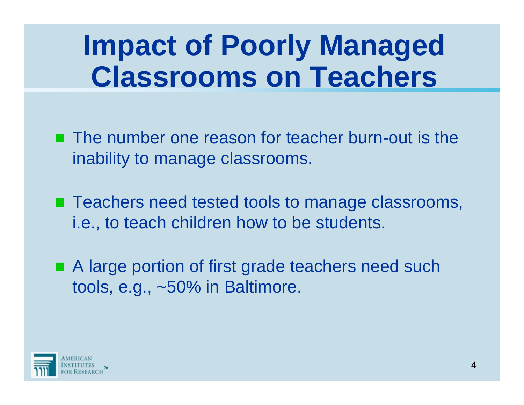# **Impact of Poorly Managed Classrooms on Teachers**

- **The number one reason for teacher burn-out is the** inability to manage classrooms.
- Teachers need tested tools to manage classrooms, i.e., to teach children how to be students.
- A large portion of first grade teachers need such tools, e.g., ~50% in Baltimore.

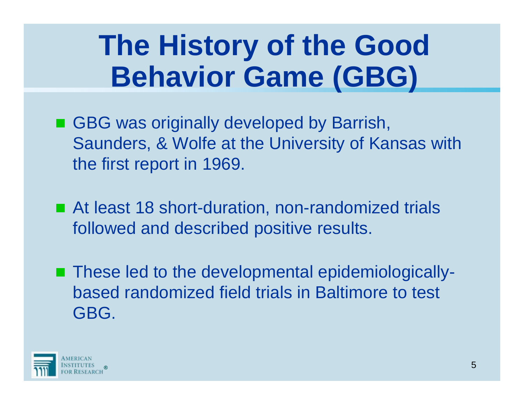# **The History of the Good Behavior Game (GBG)**

- GBG was originally developed by Barrish, Saunders, & Wolfe at the University of Kansas with the first report in 1969.
- At least 18 short-duration, non-randomized trials followed and described positive results.
- These led to the developmental epidemiologicallybased randomized field trials in Baltimore to test GBG.

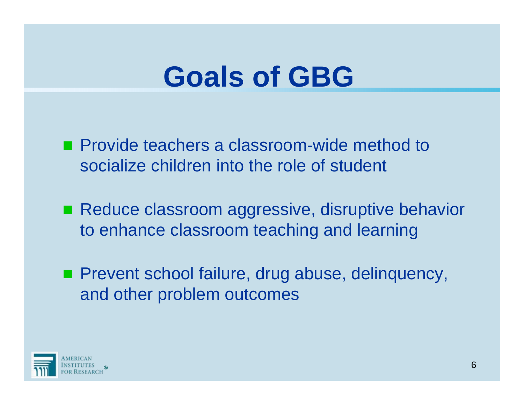#### **Goals of GBG**

**Provide teachers a classroom-wide method to** socialize children into the role of student

■ Reduce classroom aggressive, disruptive behavior to enhance classroom teaching and learning

**Prevent school failure, drug abuse, delinquency,** and other problem outcomes

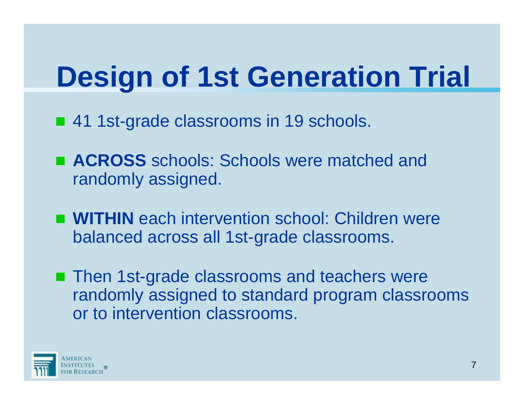# **Design of 1st Generation Trial**

- 41 1st-grade classrooms in 19 schools.
- ACROSS schools: Schools were matched and randomly assigned.
- **WITHIN** each intervention school: Children were balanced across all 1st-grade classrooms.
- Then 1st-grade classrooms and teachers were randomly assigned to standard program classrooms or to intervention classrooms.

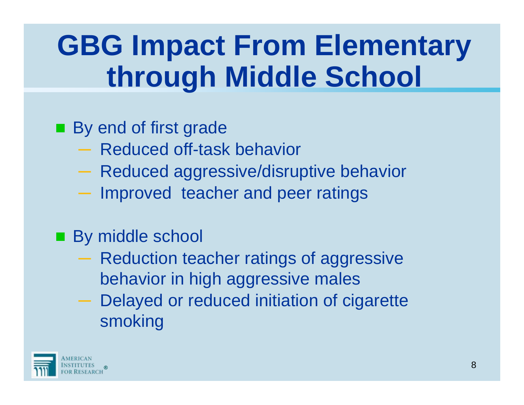# **GBG Impact From Elementary through Middle School**

#### By end of first grade

- ─ Reduced off-task behavior
- Reduced aggressive/disruptive behavior
- $-$  Improved teacher and peer ratings

#### **By middle school**

- Reduction teacher ratings of aggressive behavior in high aggressive males
- Delayed or reduced initiation of cigarette smoking

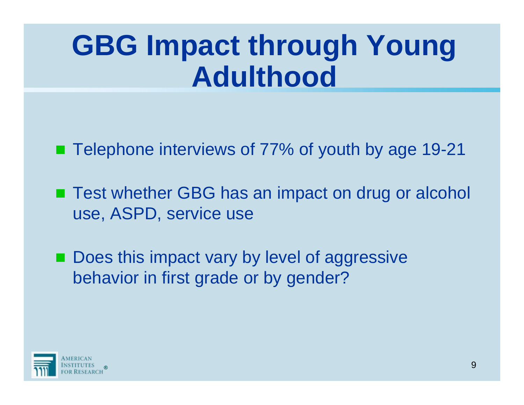# **GBG Impact through Young Adulthood**

■ Telephone interviews of 77% of youth by age 19-21

■ Test whether GBG has an impact on drug or alcohol use, ASPD, service use

■ Does this impact vary by level of aggressive behavior in first grade or by gender?

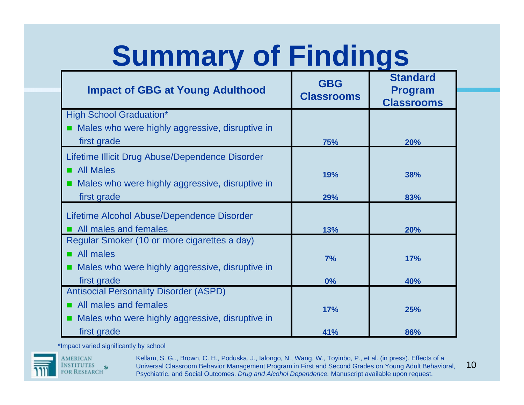# **Summary of Findings**

| <b>Impact of GBG at Young Adulthood</b>           | <b>GBG</b><br><b>Classrooms</b> | <b>Standard</b><br><b>Program</b><br><b>Classrooms</b> |
|---------------------------------------------------|---------------------------------|--------------------------------------------------------|
| <b>High School Graduation*</b>                    |                                 |                                                        |
| ■ Males who were highly aggressive, disruptive in |                                 |                                                        |
| first grade                                       | 75%                             | <b>20%</b>                                             |
| Lifetime Illicit Drug Abuse/Dependence Disorder   |                                 |                                                        |
| <b>All Males</b>                                  | 19%                             | 38%                                                    |
| ■ Males who were highly aggressive, disruptive in |                                 |                                                        |
| first grade                                       | 29%                             | 83%                                                    |
| Lifetime Alcohol Abuse/Dependence Disorder        |                                 |                                                        |
| All males and females                             | 13%                             | 20%                                                    |
| Regular Smoker (10 or more cigarettes a day)      |                                 |                                                        |
| All males                                         | 7%                              | 17%                                                    |
| ■ Males who were highly aggressive, disruptive in |                                 |                                                        |
| first grade                                       | 0%                              | 40%                                                    |
| <b>Antisocial Personality Disorder (ASPD)</b>     |                                 |                                                        |
| All males and females                             | 17%                             | 25%                                                    |
| ■ Males who were highly aggressive, disruptive in |                                 |                                                        |
| first grade                                       | 41%                             | 86%                                                    |

\*Impact varied significantly by school



**AMERICAN** institutes<br>for Research

® Miversal Classroom Behavior Management Program in First and Second Grades on Young Adult Behavioral, Must  $10\,$ Kellam, S. G.., Brown, C. H., Poduska, J., Ialongo, N., Wang, W., Toyinbo, P., et al. (in press). Effects of a Psychiatric, and Social Outcomes. *Drug and Alcohol Dependence.* Manuscript available upon request.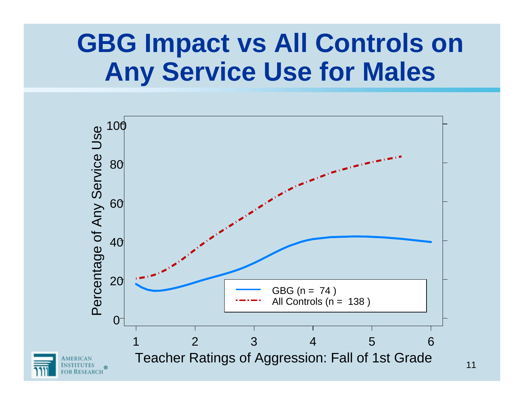#### **GBG Impact vs All Controls on Any Service Use for Males**

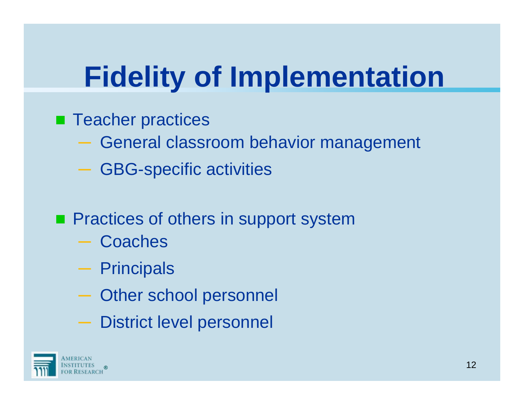# **Fidelity of Implementation**

- **Teacher practices** 
	- $-$  General classroom behavior management
	- GBG-specific activities
- **Practices of others in support system** 
	- **Coaches**
	- Principals
	- Other school personnel
	- District level personnel

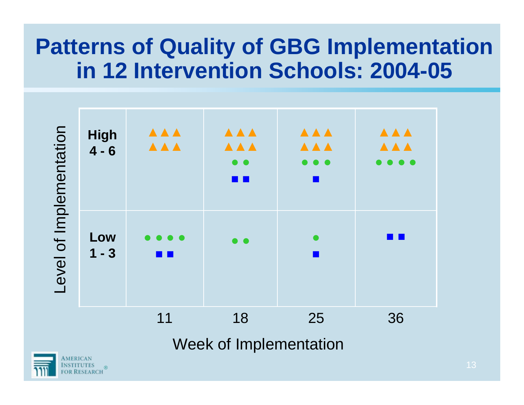#### **Patterns of Quality of GBG Implementation in 12 Intervention Schools: 2004-05**

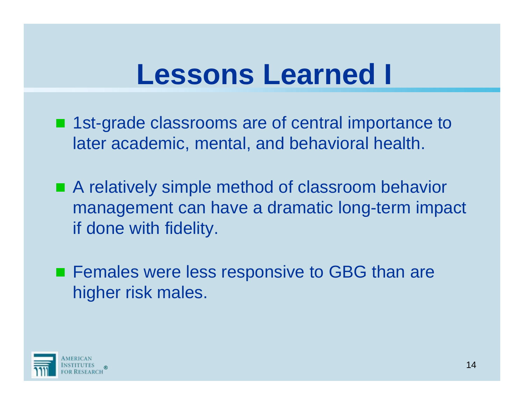### **Lessons Learned I**

- 1st-grade classrooms are of central importance to later academic, mental, and behavioral health.
- A relatively simple method of classroom behavior management can have a dramatic long-term impact if done with fidelity.
- **Females were less responsive to GBG than are** higher risk males.

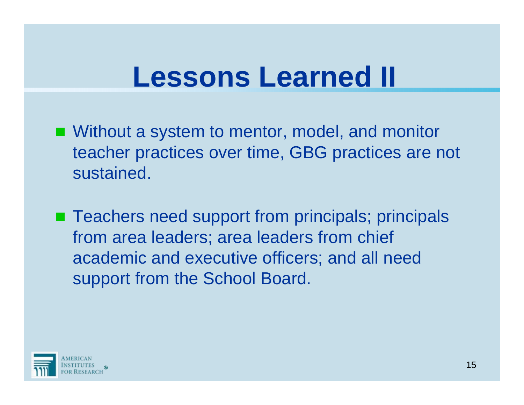## **Lessons Learned II**

- Without a system to mentor, model, and monitor teacher practices over time, GBG practices are not sustained.
- Teachers need support from principals; principals from area leaders; area leaders from chief academic and executive officers; and all need support from the School Board.

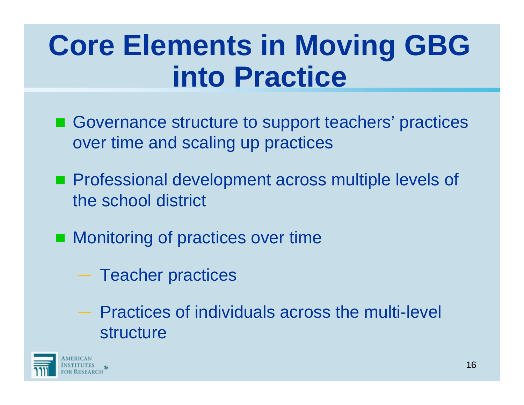# **Core Elements in Moving GBG into Practice**

- Governance structure to support teachers' practices over time and scaling up practices
- **Professional development across multiple levels of** the school district
- **Monitoring of practices over time** 
	- $-$  Teacher practices
	- ─ Practices of individuals across the multi-level structure

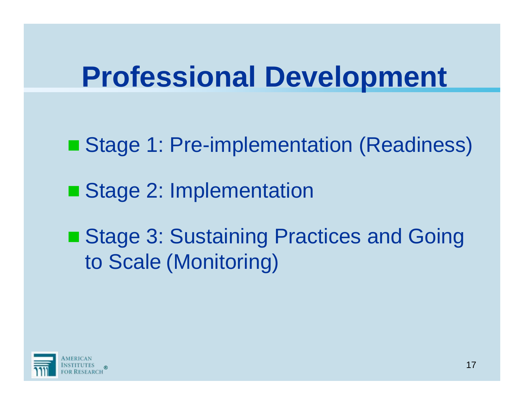## **Professional Development**

- Stage 1: Pre-implementation (Readiness)
- Stage 2: Implementation

■ Stage 3: Sustaining Practices and Going to Scale (Monitoring)

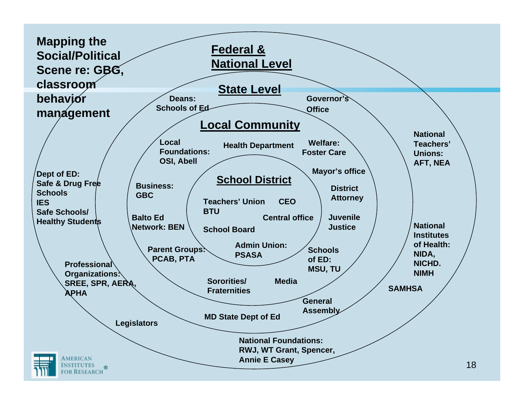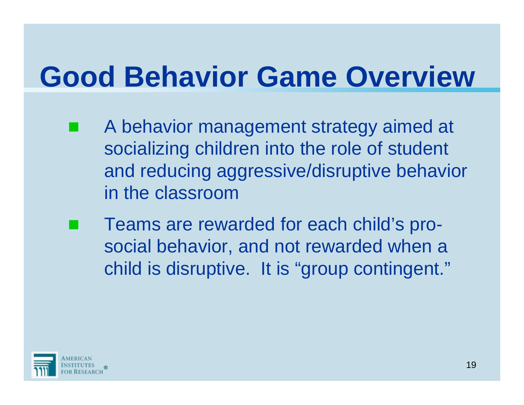# **Good Behavior Game Overview**

- **Service Service**  A behavior management strategy aimed at socializing children into the role of student and reducing aggressive/disruptive behavior in the classroom
- **Service Service**  Teams are rewarded for each child's prosocial behavior, and not rewarded when a child is disruptive. It is "group contingent."

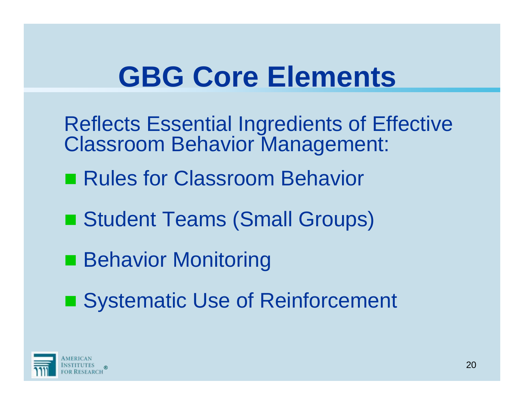# **GBG Core Elements**

- Reflects Essential Ingredients of Effective Classroom Behavior Management:
- Rules for Classroom Behavior
- Student Teams (Small Groups)
- Behavior Monitoring
- Systematic Use of Reinforcement

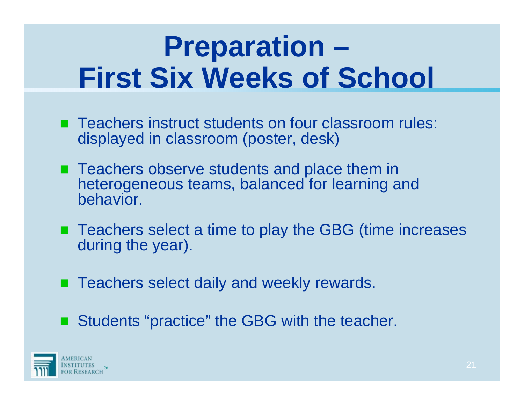# **Preparation – First Six Weeks of School**

- Teachers instruct students on four classroom rules: displayed in classroom (poster, desk)
- Teachers observe students and place them in heterogeneous teams, balanced for learning and behavior.
- Teachers select a time to play the GBG (time increases during the year).
- Teachers select daily and weekly rewards.
- Students "practice" the GBG with the teacher.

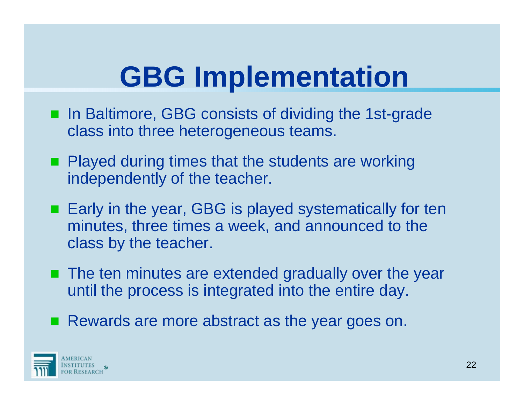# **GBG Implementation**

- In Baltimore, GBG consists of dividing the 1st-grade class into three heterogeneous teams.
- **Played during times that the students are working** independently of the teacher.
- Early in the year, GBG is played systematically for ten minutes, three times a week, and announced to the class by the teacher.
- The ten minutes are extended gradually over the year until the process is integrated into the entire day.
- Rewards are more abstract as the year goes on.

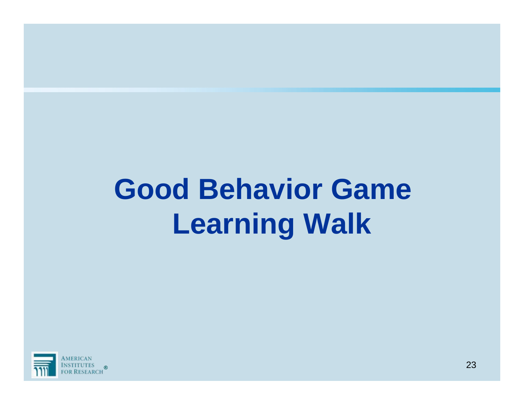# **Good Behavior Game Learning Walk**